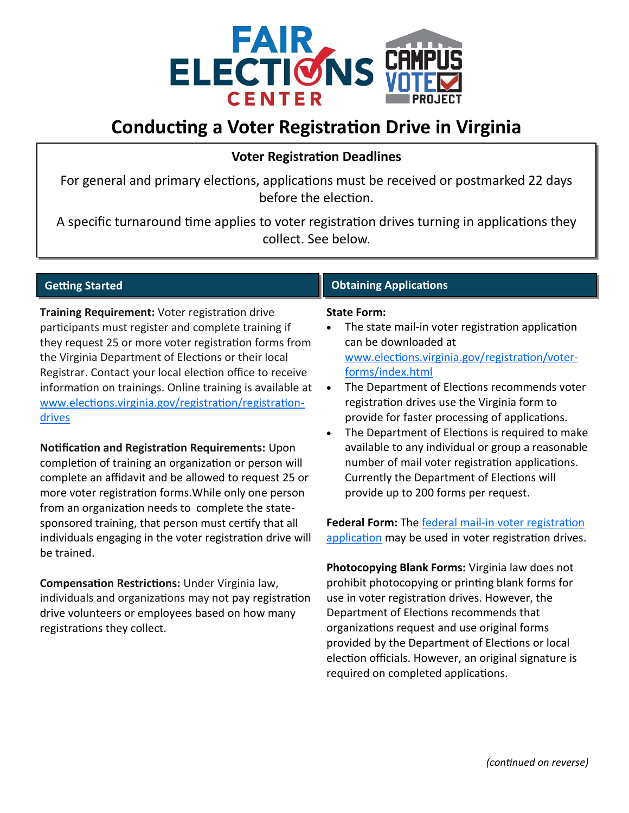

# **Conducting a Voter Registration Drive in Virginia**

## **Voter Registration Deadlines**

For general and primary elections, applications must be received or postmarked 22 days before the election.

A specific turnaround time applies to voter registration drives turning in applications they collect. See below.

### **Getting Started**

**Training Requirement:** Voter registration drive participants must register and complete training if they request 25 or more voter registration forms from the Virginia Department of Elections or their local Registrar. Contact your local election office to receive information on trainings. Online training is available at [www.elections.virginia.gov/registration/registration](http://www.elections.virginia.gov/registration/registration-drives)[drives](http://www.elections.virginia.gov/registration/registration-drives)

**Notification and Registration Requirements:** Upon completion of training an organization or person will complete an affidavit and be allowed to request 25 or more voter registration forms.While only one person from an organization needs to complete the statesponsored training, that person must certify that all individuals engaging in the voter registration drive will be trained.

**Compensation Restrictions:** Under Virginia law, individuals and organizations may not pay registration drive volunteers or employees based on how many registrations they collect.

### **Obtaining Applications**

#### **State Form:**

- The state mail-in voter registration application can be downloaded at [www.elections.virginia.gov/registration/voter](http://www.elections.virginia.gov/registration/voter-forms/index.html)[forms/index.html](http://www.elections.virginia.gov/registration/voter-forms/index.html)
- The Department of Elections recommends voter registration drives use the Virginia form to provide for faster processing of applications.
- The Department of Elections is required to make available to any individual or group a reasonable number of mail voter registration applications. Currently the Department of Elections will provide up to 200 forms per request.

**Federal Form:** The federal mail-[in voter registration](http://www.eac.gov/voters/national-mail-voter-registration-form/)  [application](http://www.eac.gov/voters/national-mail-voter-registration-form/) may be used in voter registration drives.

**Photocopying Blank Forms:** Virginia law does not prohibit photocopying or printing blank forms for use in voter registration drives. However, the Department of Elections recommends that organizations request and use original forms provided by the Department of Elections or local election officials. However, an original signature is required on completed applications.